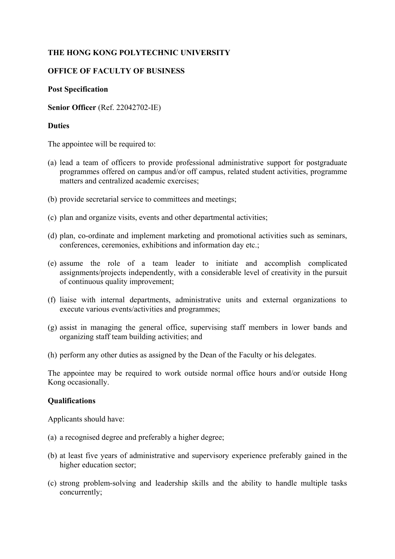# **THE HONG KONG POLYTECHNIC UNIVERSITY**

### **OFFICE OF FACULTY OF BUSINESS**

#### **Post Specification**

**Senior Officer** (Ref. 22042702-IE)

#### **Duties**

The appointee will be required to:

- (a) lead a team of officers to provide professional administrative support for postgraduate programmes offered on campus and/or off campus, related student activities, programme matters and centralized academic exercises;
- (b) provide secretarial service to committees and meetings;
- (c) plan and organize visits, events and other departmental activities;
- (d) plan, co-ordinate and implement marketing and promotional activities such as seminars, conferences, ceremonies, exhibitions and information day etc.;
- (e) assume the role of a team leader to initiate and accomplish complicated assignments/projects independently, with a considerable level of creativity in the pursuit of continuous quality improvement;
- (f) liaise with internal departments, administrative units and external organizations to execute various events/activities and programmes;
- (g) assist in managing the general office, supervising staff members in lower bands and organizing staff team building activities; and
- (h) perform any other duties as assigned by the Dean of the Faculty or his delegates.

The appointee may be required to work outside normal office hours and/or outside Hong Kong occasionally.

## **Qualifications**

Applicants should have:

- (a) a recognised degree and preferably a higher degree;
- (b) at least five years of administrative and supervisory experience preferably gained in the higher education sector;
- (c) strong problem-solving and leadership skills and the ability to handle multiple tasks concurrently;